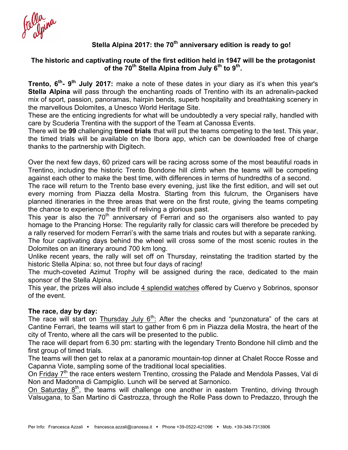## **Stella Alpina 2017: the 70th anniversary edition is ready to go!**

### **The historic and captivating route of the first edition held in 1947 will be the protagonist of the 70th Stella Alpina from July 6th to 9th.**

**Trento, 6th- 9th July 2017:** make a note of these dates in your diary as it's when this year's **Stella Alpina** will pass through the enchanting roads of Trentino with its an adrenalin-packed mix of sport, passion, panoramas, hairpin bends, superb hospitality and breathtaking scenery in the marvellous Dolomites, a Unesco World Heritage Site.

These are the enticing ingredients for what will be undoubtedly a very special rally, handled with care by Scuderia Trentina with the support of the Team at Canossa Events.

There will be **99** challenging **timed trials** that will put the teams competing to the test. This year, the timed trials will be available on the Ibora app, which can be downloaded free of charge thanks to the partnership with Digitech.

Over the next few days, 60 prized cars will be racing across some of the most beautiful roads in Trentino, including the historic Trento Bondone hill climb when the teams will be competing against each other to make the best time, with differences in terms of hundredths of a second.

The race will return to the Trento base every evening, just like the first edition, and will set out every morning from Piazza della Mostra. Starting from this fulcrum, the Organisers have planned itineraries in the three areas that were on the first route, giving the teams competing the chance to experience the thrill of reliving a glorious past.

This year is also the  $70<sup>th</sup>$  anniversary of Ferrari and so the organisers also wanted to pay homage to the Prancing Horse: The regularity rally for classic cars will therefore be preceded by a rally reserved for modern Ferrari's with the same trials and routes but with a separate ranking.

The four captivating days behind the wheel will cross some of the most scenic routes in the Dolomites on an itinerary around 700 km long.

Unlike recent years, the rally will set off on Thursday, reinstating the tradition started by the historic Stella Alpina: so, not three but four days of racing!

The much-coveted Azimut Trophy will be assigned during the race, dedicated to the main sponsor of the Stella Alpina.

This year, the prizes will also include 4 splendid watches offered by Cuervo y Sobrinos, sponsor of the event.

#### **The race, day by day:**

The race will start on Thursday July  $6<sup>th</sup>$ : After the checks and "punzonatura" of the cars at Cantine Ferrari, the teams will start to gather from 6 pm in Piazza della Mostra, the heart of the city of Trento, where all the cars will be presented to the public.

The race will depart from 6.30 pm: starting with the legendary Trento Bondone hill climb and the first group of timed trials.

The teams will then get to relax at a panoramic mountain-top dinner at Chalet Rocce Rosse and Capanna Viote, sampling some of the traditional local specialities.

On Friday 7<sup>th</sup> the race enters western Trentino, crossing the Palade and Mendola Passes, Val di Non and Madonna di Campiglio. Lunch will be served at Sarnonico.

On Saturday 8<sup>th</sup>, the teams will challenge one another in eastern Trentino, driving through Valsugana, to San Martino di Castrozza, through the Rolle Pass down to Predazzo, through the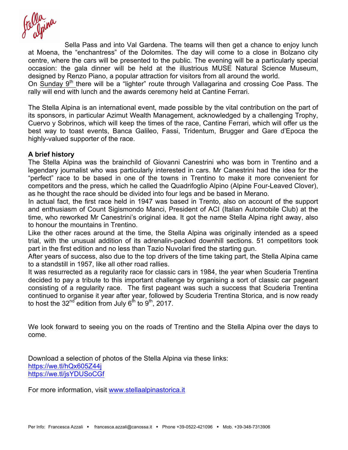Sella Pass and into Val Gardena. The teams will then get a chance to enjoy lunch at Moena, the "enchantress" of the Dolomites. The day will come to a close in Bolzano city centre, where the cars will be presented to the public. The evening will be a particularly special occasion: the gala dinner will be held at the illustrious MUSE Natural Science Museum, designed by Renzo Piano, a popular attraction for visitors from all around the world.

On Sunday 9<sup>th</sup> there will be a "lighter" route through Vallagarina and crossing Coe Pass. The rally will end with lunch and the awards ceremony held at Cantine Ferrari.

The Stella Alpina is an international event, made possible by the vital contribution on the part of its sponsors, in particular Azimut Wealth Management, acknowledged by a challenging Trophy, Cuervo y Sobrinos, which will keep the times of the race, Cantine Ferrari, which will offer us the best way to toast events, Banca Galileo, Fassi, Tridentum, Brugger and Gare d'Epoca the highly-valued supporter of the race.

#### **A brief history**

The Stella Alpina was the brainchild of Giovanni Canestrini who was born in Trentino and a legendary journalist who was particularly interested in cars. Mr Canestrini had the idea for the "perfect" race to be based in one of the towns in Trentino to make it more convenient for competitors and the press, which he called the Quadrifoglio Alpino (Alpine Four-Leaved Clover), as he thought the race should be divided into four legs and be based in Merano.

In actual fact, the first race held in 1947 was based in Trento, also on account of the support and enthusiasm of Count Sigismondo Manci, President of ACI (Italian Automobile Club) at the time, who reworked Mr Canestrini's original idea. It got the name Stella Alpina right away, also to honour the mountains in Trentino.

Like the other races around at the time, the Stella Alpina was originally intended as a speed trial, with the unusual addition of its adrenalin-packed downhill sections. 51 competitors took part in the first edition and no less than Tazio Nuvolari fired the starting gun.

After years of success, also due to the top drivers of the time taking part, the Stella Alpina came to a standstill in 1957, like all other road rallies.

It was resurrected as a regularity race for classic cars in 1984, the year when Scuderia Trentina decided to pay a tribute to this important challenge by organising a sort of classic car pageant consisting of a regularity race. The first pageant was such a success that Scuderia Trentina continued to organise it year after year, followed by Scuderia Trentina Storica, and is now ready to host the  $32^{nd}$  edition from July  $6^{th}$  to  $9^{th}$ , 2017.

We look forward to seeing you on the roads of Trentino and the Stella Alpina over the days to come.

Download a selection of photos of the Stella Alpina via these links: https://we.tl/hQx605Z44j https://we.tl/jsYDUSoCGf

For more information, visit www.stellaalpinastorica.it